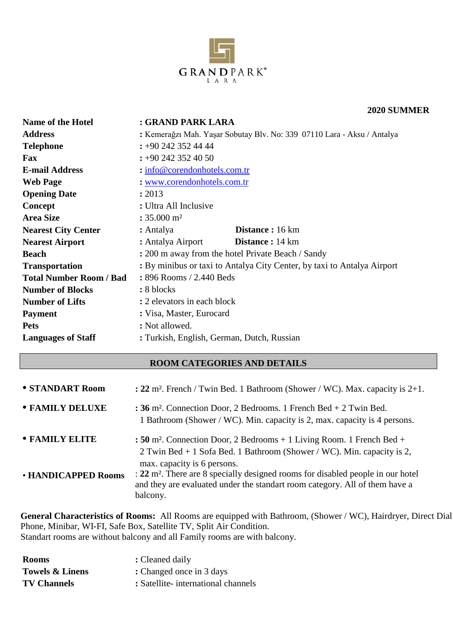

#### **2020 SUMMER**

| Name of the Hotel              | : GRAND PARK LARA                                                       |  |
|--------------------------------|-------------------------------------------------------------------------|--|
| <b>Address</b>                 | : Kemerağzı Mah. Yaşar Sobutay Blv. No: 339 07110 Lara - Aksu / Antalya |  |
| <b>Telephone</b>               | $\div 90$ 242 352 44 44                                                 |  |
| <b>Fax</b>                     | $\div 90$ 242 352 40 50                                                 |  |
| <b>E-mail Address</b>          | $:$ info@corendonhotels.com.tr                                          |  |
| <b>Web Page</b>                | : www.corendonhotels.com.tr                                             |  |
| <b>Opening Date</b>            | : 2013                                                                  |  |
| Concept                        | : Ultra All Inclusive                                                   |  |
| <b>Area Size</b>               | $: 35.000 \text{ m}^2$                                                  |  |
| <b>Nearest City Center</b>     | <b>Distance</b> : 16 km<br>: Antalya                                    |  |
| <b>Nearest Airport</b>         | <b>Distance</b> : 14 km<br>: Antalya Airport                            |  |
| <b>Beach</b>                   | : 200 m away from the hotel Private Beach / Sandy                       |  |
| <b>Transportation</b>          | : By minibus or taxi to Antalya City Center, by taxi to Antalya Airport |  |
| <b>Total Number Room / Bad</b> | : 896 Rooms / 2.440 Beds                                                |  |
| <b>Number of Blocks</b>        | : 8 blocks                                                              |  |
| <b>Number of Lifts</b>         | : 2 elevators in each block                                             |  |
| <b>Payment</b>                 | : Visa, Master, Eurocard                                                |  |
| <b>Pets</b>                    | : Not allowed.                                                          |  |
| <b>Languages of Staff</b>      | : Turkish, English, German, Dutch, Russian                              |  |

# **ROOM CATEGORIES AND DETAILS**

| • STANDART Room     | : $22 \text{ m}^2$ . French / Twin Bed. 1 Bathroom (Shower / WC). Max. capacity is $2+1$ .                                                                                                    |
|---------------------|-----------------------------------------------------------------------------------------------------------------------------------------------------------------------------------------------|
| • FAMILY DELUXE     | : 36 m <sup>2</sup> . Connection Door, 2 Bedrooms. 1 French Bed $+$ 2 Twin Bed.<br>1 Bathroom (Shower / WC). Min. capacity is 2, max. capacity is 4 persons.                                  |
| • FAMILY ELITE      | : 50 m <sup>2</sup> . Connection Door, 2 Bedrooms $+1$ Living Room. 1 French Bed $+$<br>2 Twin Bed + 1 Sofa Bed. 1 Bathroom (Shower / WC). Min. capacity is 2,<br>max. capacity is 6 persons. |
| • HANDICAPPED Rooms | : 22 m <sup>2</sup> . There are 8 specially designed rooms for disabled people in our hotel<br>and they are evaluated under the standart room category. All of them have a<br>balcony.        |

**General Characteristics of Rooms:** All Rooms are equipped with Bathroom, (Shower / WC), Hairdryer, Direct Dial Phone, Minibar, WI-FI, Safe Box, Satellite TV, Split Air Condition. Standart rooms are without balcony and all Family rooms are with balcony.

| <b>Rooms</b>               | : Cleaned daily                    |
|----------------------------|------------------------------------|
| <b>Towels &amp; Linens</b> | : Changed once in 3 days           |
| <b>TV Channels</b>         | : Satellite-international channels |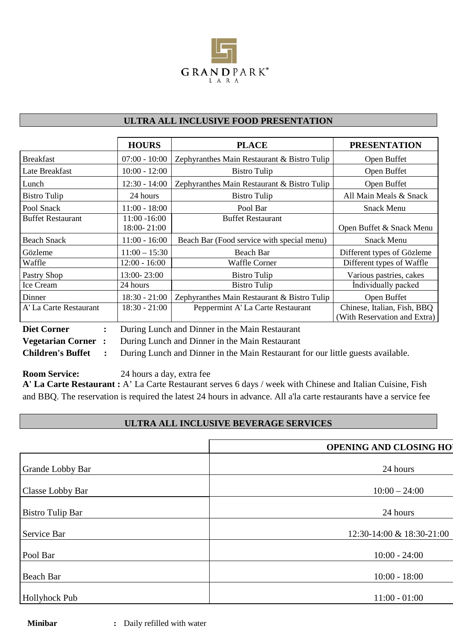

# **ULTRA ALL INCLUSIVE FOOD PRESENTATION**

|                                      | <b>HOURS</b>                   | <b>PLACE</b>                                                                    | <b>PRESENTATION</b>                                         |
|--------------------------------------|--------------------------------|---------------------------------------------------------------------------------|-------------------------------------------------------------|
| <b>Breakfast</b>                     | $07:00 - 10:00$                | Zephyranthes Main Restaurant & Bistro Tulip                                     | Open Buffet                                                 |
| Late Breakfast                       | $10:00 - 12:00$                | <b>Bistro Tulip</b>                                                             | Open Buffet                                                 |
| Lunch                                | $12:30 - 14:00$                | Zephyranthes Main Restaurant & Bistro Tulip                                     | Open Buffet                                                 |
| <b>Bistro Tulip</b>                  | 24 hours                       | <b>Bistro Tulip</b>                                                             | All Main Meals & Snack                                      |
| Pool Snack                           | $11:00 - 18:00$                | Pool Bar                                                                        | <b>Snack Menu</b>                                           |
| <b>Buffet Restaurant</b>             | $11:00 - 16:00$<br>18:00-21:00 | <b>Buffet Restaurant</b>                                                        | Open Buffet & Snack Menu                                    |
| <b>Beach Snack</b>                   | $11:00 - 16:00$                | Beach Bar (Food service with special menu)                                      | <b>Snack Menu</b>                                           |
| Gözleme                              | $11:00 - 15:30$                | Beach Bar                                                                       | Different types of Gözleme                                  |
| Waffle                               | $12:00 - 16:00$                | Waffle Corner                                                                   | Different types of Waffle                                   |
| Pastry Shop                          | 13:00-23:00                    | Bistro Tulip                                                                    | Various pastries, cakes                                     |
| Ice Cream                            | 24 hours                       | <b>Bistro Tulip</b>                                                             | Individually packed                                         |
| Dinner                               | $18:30 - 21:00$                | Zephyranthes Main Restaurant & Bistro Tulip                                     | Open Buffet                                                 |
| A' La Carte Restaurant               | $18:30 - 21:00$                | Peppermint A' La Carte Restaurant                                               | Chinese, Italian, Fish, BBQ<br>(With Reservation and Extra) |
| <b>Diet Corner</b><br>$\ddot{\cdot}$ |                                | During Lunch and Dinner in the Main Restaurant                                  |                                                             |
| <b>Vegetarian Corner:</b>            |                                | During Lunch and Dinner in the Main Restaurant                                  |                                                             |
| <b>Children's Buffet</b>             |                                | During Lunch and Dinner in the Main Restaurant for our little guests available. |                                                             |

**Room Service:** 24 hours a day, extra fee

**A' La Carte Restaurant :** A' La Carte Restaurant serves 6 days / week with Chinese and Italian Cuisine, Fish and BBQ. The reservation is required the latest 24 hours in advance. All a'la carte restaurants have a service fee

### **ULTRA ALL INCLUSIVE BEVERAGE SERVICES**

|                         | <b>OPENING AND CLOSING HO</b> |
|-------------------------|-------------------------------|
| Grande Lobby Bar        | 24 hours                      |
| Classe Lobby Bar        | $10:00 - 24:00$               |
| <b>Bistro Tulip Bar</b> | 24 hours                      |
| Service Bar             | 12:30-14:00 & 18:30-21:00     |
| Pool Bar                | $10:00 - 24:00$               |
| <b>Beach Bar</b>        | $10:00 - 18:00$               |
| Hollyhock Pub           | $11:00 - 01:00$               |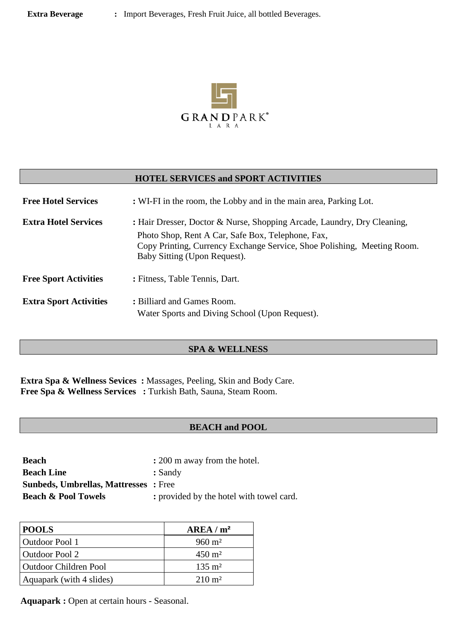

#### **HOTEL SERVICES and SPORT ACTIVITIES**

| <b>Free Hotel Services</b>    | : WI-FI in the room, the Lobby and in the main area, Parking Lot.                                                                                                                                                                       |  |
|-------------------------------|-----------------------------------------------------------------------------------------------------------------------------------------------------------------------------------------------------------------------------------------|--|
| <b>Extra Hotel Services</b>   | : Hair Dresser, Doctor & Nurse, Shopping Arcade, Laundry, Dry Cleaning,<br>Photo Shop, Rent A Car, Safe Box, Telephone, Fax,<br>Copy Printing, Currency Exchange Service, Shoe Polishing, Meeting Room.<br>Baby Sitting (Upon Request). |  |
| <b>Free Sport Activities</b>  | : Fitness, Table Tennis, Dart.                                                                                                                                                                                                          |  |
| <b>Extra Sport Activities</b> | : Billiard and Games Room.<br>Water Sports and Diving School (Upon Request).                                                                                                                                                            |  |

#### **SPA & WELLNESS**

**Extra Spa & Wellness Sevices :** Massages, Peeling, Skin and Body Care. **Free Spa & Wellness Services :** Turkish Bath, Sauna, Steam Room.

#### **BEACH and POOL**

| <b>Beach</b>                                | : 200 m away from the hotel.             |
|---------------------------------------------|------------------------------------------|
| <b>Beach Line</b>                           | : Sandy                                  |
| <b>Sunbeds, Umbrellas, Mattresses:</b> Free |                                          |
| <b>Beach &amp; Pool Towels</b>              | : provided by the hotel with towel card. |

| <b>POOLS</b>                 | AREA/m <sup>2</sup> |
|------------------------------|---------------------|
| Outdoor Pool 1               | $960 \text{ m}^2$   |
| <b>Outdoor Pool 2</b>        | $450 \text{ m}^2$   |
| <b>Outdoor Children Pool</b> | $135 \text{ m}^2$   |
| Aquapark (with 4 slides)     | $210 \text{ m}^2$   |

**Aquapark :** Open at certain hours - Seasonal.